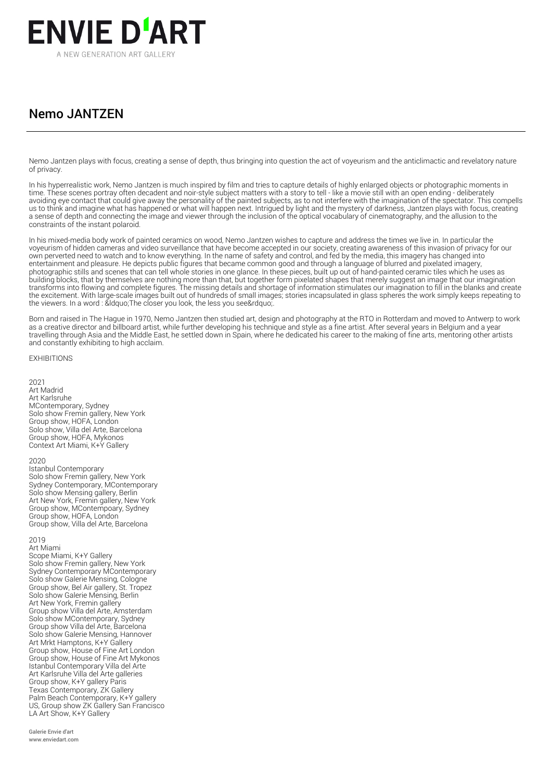

# Nemo JANTZEN

Nemo Jantzen plays with focus, creating a sense of depth, thus bringing into question the act of voyeurism and the anticlimactic and revelatory nature of privacy.

In his hyperrealistic work, Nemo Jantzen is much inspired by film and tries to capture details of highly enlarged objects or photographic moments in time. These scenes portray often decadent and noir-style subject matters with a story to tell - like a movie still with an open ending - deliberately avoiding eye contact that could give away the personality of the painted subjects, as to not interfere with the imagination of the spectator. This compells us to think and imagine what has happened or what will happen next. Intrigued by light and the mystery of darkness, Jantzen plays with focus, creating a sense of depth and connecting the image and viewer through the inclusion of the optical vocabulary of cinematography, and the allusion to the constraints of the instant polaroid.

In his mixed-media body work of painted ceramics on wood, Nemo Jantzen wishes to capture and address the times we live in. In particular the voyeurism of hidden cameras and video surveillance that have become accepted in our society, creating awareness of this invasion of privacy for our own perverted need to watch and to know everything. In the name of safety and control, and fed by the media, this imagery has changed into entertainment and pleasure. He depicts public figures that became common good and through a language of blurred and pixelated imagery, photographic stills and scenes that can tell whole stories in one glance. In these pieces, built up out of hand-painted ceramic tiles which he uses as building blocks, that by themselves are nothing more than that, but together form pixelated shapes that merely suggest an image that our imagination transforms into flowing and complete figures. The missing details and shortage of information stimulates our imagination to fill in the blanks and create the excitement. With large-scale images built out of hundreds of small images; stories incapsulated in glass spheres the work simply keeps repeating to the viewers. In a word : &Idquo; The closer you look, the less you see".

Born and raised in The Hague in 1970, Nemo Jantzen then studied art, design and photography at the RTO in Rotterdam and moved to Antwerp to work as a creative director and billboard artist, while further developing his technique and style as a fine artist. After several years in Belgium and a year travelling through Asia and the Middle East, he settled down in Spain, where he dedicated his career to the making of fine arts, mentoring other artists and constantly exhibiting to high acclaim.

## **EXHIBITIONS**

2021 Art Madrid Art Karlsruhe MContemporary, Sydney Solo show Fremin gallery, New York Group show, HOFA, London Solo show, Villa del Arte, Barcelona Group show, HOFA, Mykonos Context Art Miami, K+Y Gallery

## 2020

Istanbul Contemporary Solo show Fremin gallery, New York Sydney Contemporary, MContemporary Solo show Mensing gallery, Berlin Art New York, Fremin gallery, New York Group show, MContempoary, Sydney Group show, HOFA, London Group show, Villa del Arte, Barcelona

# 2019

Art Miami Scope Miami, K+Y Gallery Solo show Fremin gallery, New York Sydney Contemporary MContemporary Solo show Galerie Mensing, Cologne Group show, Bel Air gallery, St. Tropez Solo show Galerie Mensing, Berlin Art New York, Fremin gallery Group show Villa del Arte, Amsterdam Solo show MContemporary, Sydney Group show Villa del Arte, Barcelona Solo show Galerie Mensing, Hannover Art Mrkt Hamptons, K+Y Gallery Group show, House of Fine Art London Group show, House of Fine Art Mykonos Istanbul Contemporary Villa del Arte Art Karlsruhe Villa del Arte galleries Group show, K+Y gallery Paris Texas Contemporary, ZK Gallery Palm Beach Contemporary, K+Y gallery US, Group show ZK Gallery San Francisco LA Art Show, K+Y Gallery

Galerie Envie d'art www.enviedart.com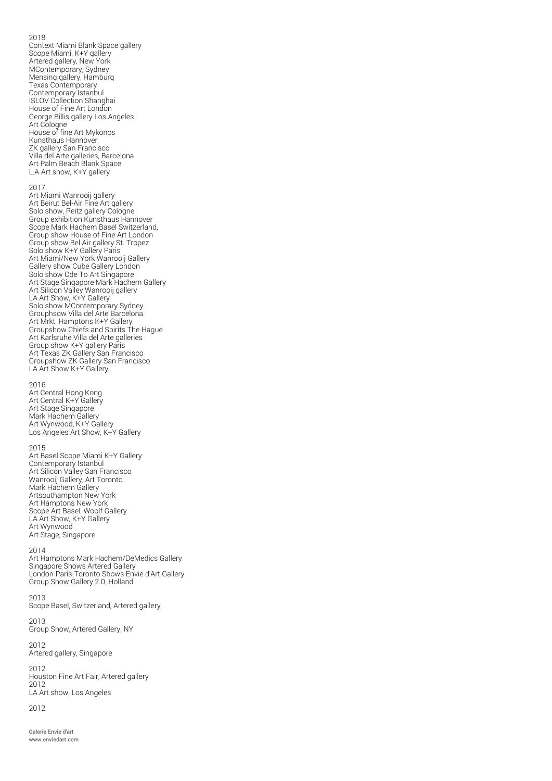# 2018

Context Miami Blank Space gallery Scope Miami, K+Y gallery Artered gallery, New York MContemporary, Sydney Mensing gallery, Hamburg Texas Contemporary Contemporary Istanbul ISLOV Collection Shanghai House of Fine Art London George Billis gallery Los Angeles Art Cologne House of fine Art Mykonos Kunsthaus Hannover ZK gallery San Francisco Villa del Arte galleries, Barcelona Art Palm Beach Blank Space L.A Art show, K+Y gallery

## 2017

Art Miami Wanrooij gallery Art Beirut Bel-Air Fine Art gallery Solo show, Reitz gallery Cologne Group exhibition Kunsthaus Hannover Scope Mark Hachem Basel Switzerland, Group show House of Fine Art London Group show Bel Air gallery St. Tropez Solo show K+Y Gallery Paris Art Miami/New York Wanrooij Gallery Gallery show Cube Gallery London Solo show Ode To Art Singapore Art Stage Singapore Mark Hachem Gallery Art Silicon Valley Wanrooij gallery LA Art Show, K+Y Gallery Solo show MContemporary Sydney Grouphsow Villa del Arte Barcelona Art Mrkt, Hamptons K+Y Gallery Groupshow Chiefs and Spirits The Hague Art Karlsruhe Villa del Arte galleries Group show K+Y gallery Paris Art Texas ZK Gallery San Francisco Groupshow ZK Gallery San Francisco LA Art Show K+Y Gallery.

## 2016

Art Central Hong Kong Art Central K+Y Gallery Art Stage Singapore Mark Hachem Gallery Art Wynwood, K+Y Gallery Los Angeles Art Show, K+Y Gallery

#### 2015

Art Basel Scope Miami K+Y Gallery Contemporary Istanbul Art Silicon Valley San Francisco Wanrooij Gallery, Art Toronto Mark Hachem Gallery Artsouthampton New York Art Hamptons New York Scope Art Basel, Woolf Gallery LA Art Show, K+Y Gallery Art Wynwood Art Stage, Singapore

#### 2014

Art Hamptons Mark Hachem/DeMedics Gallery Singapore Shows Artered Gallery London-Paris-Toronto Shows Envie d'Art Gallery Group Show Gallery 2.0, Holland

2013 Scope Basel, Switzerland, Artered gallery

2013 Group Show, Artered Gallery, NY

2012 Artered gallery, Singapore

2012 Houston Fine Art Fair, Artered gallery 2012 LA Art show, Los Angeles

2012

Galerie Envie d'art www.enviedart.com